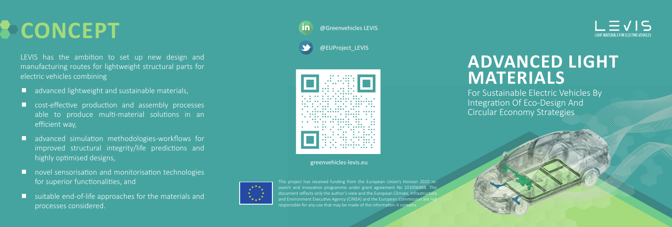**CONCEPT**

LEVIS has the ambition to set up new design and manufacturing routes for lightweight structural parts for electric vehicles combining

- **E** advanced lightweight and sustainable materials,
- cost-effective production and assembly processes able to produce multi-material solutions in an efficient way,
- **a** advanced simulation methodologies-workflows for improved structural integrity/life predictions and highly optimised designs,
- novel sensorisation and monitorisation technologies for superior functionalities, and
- $\blacksquare$  suitable end-of-life approaches for the materials and processes considered.

@Greenvehicles LEVIS

@EUProject\_LEVIS



greenvehicles-levis.eu



This project has received funding from the European Union's Horizon 2020 research and innovation programme under grant agreement No 101006888. This document reflects only the author's view and the European Climate, Infrastructure and Environment Executive Agency (CINEA) and the European Commission are no responsible for any use that may be made of the information it contains

 $\vert \equiv \sqrt{15}$ LIGHT MATERIALS FOR ELECTRIC VEHICLE

## **ADVANCED LIGHT MATERIALS**

For Sustainable Electric Vehicles By Integration Of Eco-Design And Circular Economy Strategies